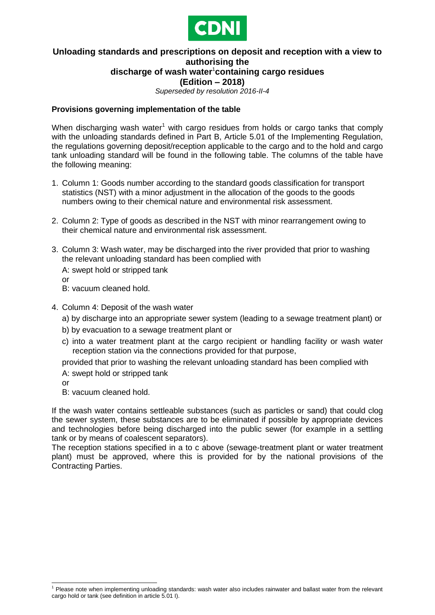

## **Unloading standards and prescriptions on deposit and reception with a view to authorising the discharge of wash water**<sup>1</sup> **containing cargo residues**

**(Edition – 2018)**

*Superseded by resolution 2016-II-4*

## **Provisions governing implementation of the table**

When discharging wash water<sup>1</sup> with cargo residues from holds or cargo tanks that comply with the unloading standards defined in Part B, Article 5.01 of the Implementing Regulation, the regulations governing deposit/reception applicable to the cargo and to the hold and cargo tank unloading standard will be found in the following table. The columns of the table have the following meaning:

- 1. Column 1: Goods number according to the standard goods classification for transport statistics (NST) with a minor adjustment in the allocation of the goods to the goods numbers owing to their chemical nature and environmental risk assessment.
- 2. Column 2: Type of goods as described in the NST with minor rearrangement owing to their chemical nature and environmental risk assessment.
- 3. Column 3: Wash water, may be discharged into the river provided that prior to washing the relevant unloading standard has been complied with
	- A: swept hold or stripped tank or
	- B: vacuum cleaned hold.
- 4. Column 4: Deposit of the wash water
	- a) by discharge into an appropriate sewer system (leading to a sewage treatment plant) or
	- b) by evacuation to a sewage treatment plant or
	- c) into a water treatment plant at the cargo recipient or handling facility or wash water reception station via the connections provided for that purpose,

provided that prior to washing the relevant unloading standard has been complied with

A: swept hold or stripped tank

or

B: vacuum cleaned hold.

If the wash water contains settleable substances (such as particles or sand) that could clog the sewer system, these substances are to be eliminated if possible by appropriate devices and technologies before being discharged into the public sewer (for example in a settling tank or by means of coalescent separators).

The reception stations specified in a to c above (sewage-treatment plant or water treatment plant) must be approved, where this is provided for by the national provisions of the Contracting Parties.

<sup>1</sup>  $<sup>1</sup>$  Please note when implementing unloading standards: wash water also includes rainwater and ballast water from the relevant</sup> cargo hold or tank (see definition in article 5.01 I).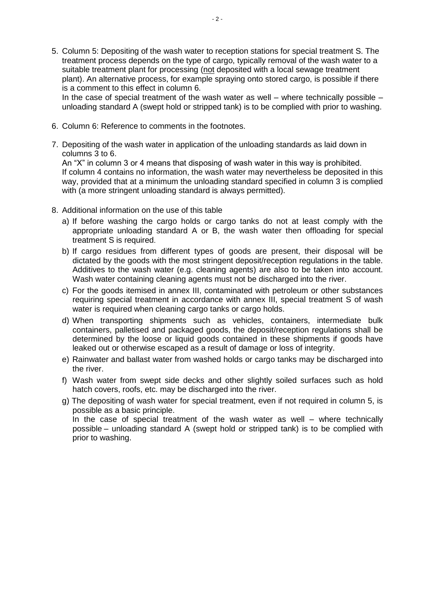5. Column 5: Depositing of the wash water to reception stations for special treatment S. The treatment process depends on the type of cargo, typically removal of the wash water to a suitable treatment plant for processing (not deposited with a local sewage treatment plant). An alternative process, for example spraying onto stored cargo, is possible if there is a comment to this effect in column 6.

In the case of special treatment of the wash water as well – where technically possible – unloading standard A (swept hold or stripped tank) is to be complied with prior to washing.

- 6. Column 6: Reference to comments in the footnotes.
- 7. Depositing of the wash water in application of the unloading standards as laid down in columns 3 to 6.

An "X" in column 3 or 4 means that disposing of wash water in this way is prohibited. If column 4 contains no information, the wash water may nevertheless be deposited in this way, provided that at a minimum the unloading standard specified in column 3 is complied with (a more stringent unloading standard is always permitted).

- 8. Additional information on the use of this table
	- a) If before washing the cargo holds or cargo tanks do not at least comply with the appropriate unloading standard A or B, the wash water then offloading for special treatment S is required.
	- b) If cargo residues from different types of goods are present, their disposal will be dictated by the goods with the most stringent deposit/reception regulations in the table. Additives to the wash water (e.g. cleaning agents) are also to be taken into account. Wash water containing cleaning agents must not be discharged into the river.
	- c) For the goods itemised in annex III, contaminated with petroleum or other substances requiring special treatment in accordance with annex III, special treatment S of wash water is required when cleaning cargo tanks or cargo holds.
	- d) When transporting shipments such as vehicles, containers, intermediate bulk containers, palletised and packaged goods, the deposit/reception regulations shall be determined by the loose or liquid goods contained in these shipments if goods have leaked out or otherwise escaped as a result of damage or loss of integrity.
	- e) Rainwater and ballast water from washed holds or cargo tanks may be discharged into the river.
	- f) Wash water from swept side decks and other slightly soiled surfaces such as hold hatch covers, roofs, etc. may be discharged into the river.
	- g) The depositing of wash water for special treatment, even if not required in column 5, is possible as a basic principle.

In the case of special treatment of the wash water as well – where technically possible – unloading standard A (swept hold or stripped tank) is to be complied with prior to washing.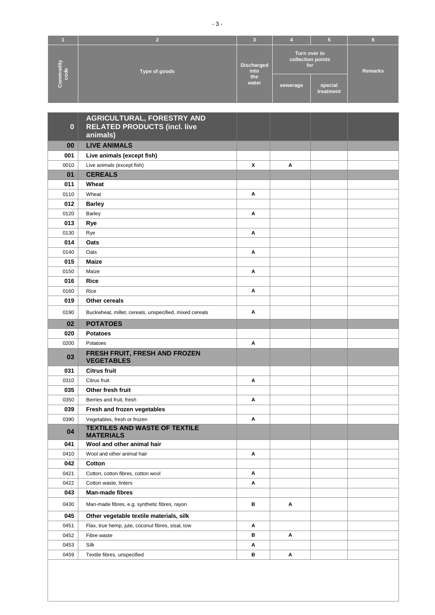| mmodity<br>code | Type of goods | Discharged<br>into | Turn over to<br>collection points<br>for |                      | <b>Remarks</b> |
|-----------------|---------------|--------------------|------------------------------------------|----------------------|----------------|
| $\mathbf C$     |               | the<br>water       | sewerage                                 | special<br>treatment |                |

| $\bf{0}$ | AGRICULTURAL, FORESTRY AND<br><b>RELATED PRODUCTS (incl. live</b><br>animals) |   |   |  |
|----------|-------------------------------------------------------------------------------|---|---|--|
| 00       | <b>LIVE ANIMALS</b>                                                           |   |   |  |
| 001      | Live animals (except fish)                                                    |   |   |  |
| 0010     | Live animals (except fish)                                                    | X | Α |  |
| 01       | <b>CEREALS</b>                                                                |   |   |  |
| 011      | Wheat                                                                         |   |   |  |
| 0110     | Wheat                                                                         | A |   |  |
| 012      | <b>Barley</b>                                                                 |   |   |  |
| 0120     | <b>Barley</b>                                                                 | Α |   |  |
| 013      | Rye                                                                           |   |   |  |
| 0130     | Rye                                                                           | Α |   |  |
| 014      | Oats                                                                          |   |   |  |
| 0140     | Oats                                                                          | A |   |  |
| 015      | Maize                                                                         |   |   |  |
| 0150     | Maize                                                                         | Α |   |  |
| 016      | <b>Rice</b>                                                                   |   |   |  |
| 0160     | Rice                                                                          | Α |   |  |
| 019      | Other cereals                                                                 |   |   |  |
| 0190     | Buckwheat, millet, cereals, unspecified, mixed cereals                        | A |   |  |
| 02       | <b>POTATOES</b>                                                               |   |   |  |
| 020      | <b>Potatoes</b>                                                               |   |   |  |
| 0200     | Potatoes                                                                      | Α |   |  |
| 03       | FRESH FRUIT, FRESH AND FROZEN<br><b>VEGETABLES</b>                            |   |   |  |
| 031      | <b>Citrus fruit</b>                                                           |   |   |  |
| 0310     | Citrus fruit                                                                  | Α |   |  |
| 035      | Other fresh fruit                                                             |   |   |  |
| 0350     | Berries and fruit, fresh                                                      | A |   |  |
| 039      | Fresh and frozen vegetables                                                   |   |   |  |
| 0390     | Vegetables, fresh or frozen                                                   | Α |   |  |
| 04       | <b>TEXTILES AND WASTE OF TEXTILE</b><br><b>MATERIALS</b>                      |   |   |  |
| 041      | Wool and other animal hair                                                    |   |   |  |
| 0410     | Wool and other animal hair                                                    | Α |   |  |
| 042      | Cotton                                                                        |   |   |  |
| 0421     | Cotton, cotton fibres, cotton wool                                            | Α |   |  |
| 0422     | Cotton waste, linters                                                         | Α |   |  |
| 043      | Man-made fibres                                                               |   |   |  |
| 0430     | Man-made fibres, e.g. synthetic fibres, rayon                                 | в | Α |  |
| 045      | Other vegetable textile materials, silk                                       |   |   |  |
| 0451     | Flax, true hemp, jute, coconut fibres, sisal, tow                             | Α |   |  |
| 0452     | Fibre waste                                                                   | в | Α |  |
| 0453     | Silk                                                                          | Α |   |  |
| 0459     | Textile fibres, unspecified                                                   | в | Α |  |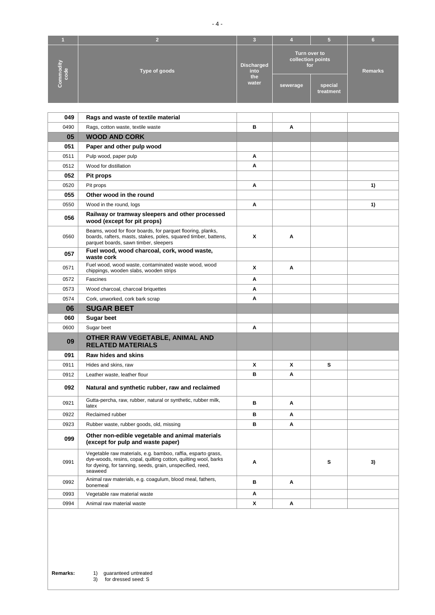|                 |               |                    |                                          | 5                    | G              |
|-----------------|---------------|--------------------|------------------------------------------|----------------------|----------------|
| mmodity<br>code | Type of goods | Discharged<br>into | Turn over to<br>collection points<br>for |                      | <b>Remarks</b> |
| $\circ$         |               | the<br>water       | sewerage                                 | special<br>treatment |                |

| 049  | Rags and waste of textile material                                                                                                                                                                      |   |   |   |    |
|------|---------------------------------------------------------------------------------------------------------------------------------------------------------------------------------------------------------|---|---|---|----|
| 0490 | Rags, cotton waste, textile waste                                                                                                                                                                       | в | A |   |    |
| 05   | <b>WOOD AND CORK</b>                                                                                                                                                                                    |   |   |   |    |
| 051  | Paper and other pulp wood                                                                                                                                                                               |   |   |   |    |
| 0511 | Pulp wood, paper pulp                                                                                                                                                                                   | A |   |   |    |
| 0512 | Wood for distillation                                                                                                                                                                                   | Α |   |   |    |
| 052  | Pit props                                                                                                                                                                                               |   |   |   |    |
| 0520 | Pit props                                                                                                                                                                                               | Α |   |   | 1) |
| 055  | Other wood in the round                                                                                                                                                                                 |   |   |   |    |
| 0550 | Wood in the round, logs                                                                                                                                                                                 | A |   |   | 1) |
| 056  | Railway or tramway sleepers and other processed<br>wood (except for pit props)                                                                                                                          |   |   |   |    |
| 0560 | Beams, wood for floor boards, for parquet flooring, planks,<br>boards, rafters, masts, stakes, poles, squared timber, battens,<br>parquet boards, sawn timber, sleepers                                 | Χ | Α |   |    |
| 057  | Fuel wood, wood charcoal, cork, wood waste,<br>waste cork                                                                                                                                               |   |   |   |    |
| 0571 | Fuel wood, wood waste, contaminated waste wood, wood<br>chippings, wooden slabs, wooden strips                                                                                                          | x | A |   |    |
| 0572 | Fascines                                                                                                                                                                                                | A |   |   |    |
| 0573 | Wood charcoal, charcoal briquettes                                                                                                                                                                      | A |   |   |    |
| 0574 | Cork, unworked, cork bark scrap                                                                                                                                                                         | A |   |   |    |
| 06   | <b>SUGAR BEET</b>                                                                                                                                                                                       |   |   |   |    |
| 060  | <b>Sugar beet</b>                                                                                                                                                                                       |   |   |   |    |
| 0600 | Sugar beet                                                                                                                                                                                              | A |   |   |    |
| 09   | OTHER RAW VEGETABLE, ANIMAL AND<br><b>RELATED MATERIALS</b>                                                                                                                                             |   |   |   |    |
| 091  | Raw hides and skins                                                                                                                                                                                     |   |   |   |    |
| 0911 | Hides and skins, raw                                                                                                                                                                                    | Χ | x | s |    |
| 0912 | Leather waste, leather flour                                                                                                                                                                            | в | Α |   |    |
| 092  | Natural and synthetic rubber, raw and reclaimed                                                                                                                                                         |   |   |   |    |
| 0921 | Gutta-percha, raw, rubber, natural or synthetic, rubber milk,<br>latex                                                                                                                                  | в | A |   |    |
| 0922 | Reclaimed rubber                                                                                                                                                                                        | в | A |   |    |
| 0923 | Rubber waste, rubber goods, old, missing                                                                                                                                                                | в | Α |   |    |
| 099  | Other non-edible vegetable and animal materials<br>(except for pulp and waste paper)                                                                                                                    |   |   |   |    |
| 0991 | Vegetable raw materials, e.g. bamboo, raffia, esparto grass,<br>dye-woods, resins, copal, quilting cotton, quilting wool, barks<br>for dyeing, for tanning, seeds, grain, unspecified, reed,<br>seaweed | A |   | S | 3) |
| 0992 | Animal raw materials, e.g. coagulum, blood meal, fathers,<br>bonemeal                                                                                                                                   | в | Α |   |    |
| 0993 | Vegetable raw material waste                                                                                                                                                                            | Α |   |   |    |
| 0994 | Animal raw material waste                                                                                                                                                                               | x | Α |   |    |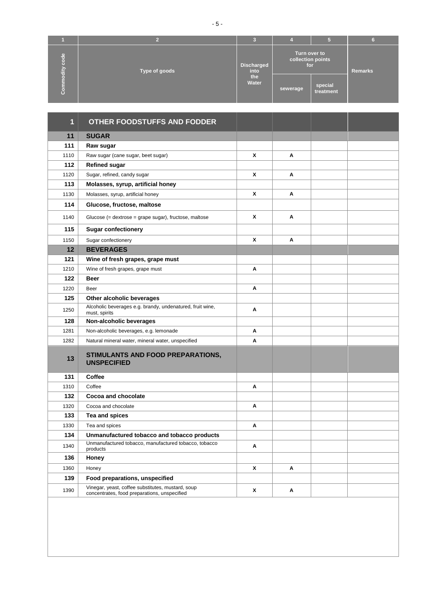|                        |                                            |              |                                          | 5                    |         |
|------------------------|--------------------------------------------|--------------|------------------------------------------|----------------------|---------|
| le<br>de<br>8<br>vijpo | <b>Discharged</b><br>Type of goods<br>into |              | Turn over to<br>collection points<br>for |                      | Remarks |
| $\mathbf C$            |                                            | the<br>Water | sewerage                                 | special<br>treatment |         |

| 1    | <b>OTHER FOODSTUFFS AND FODDER</b>                                                                |   |   |  |
|------|---------------------------------------------------------------------------------------------------|---|---|--|
| 11   | <b>SUGAR</b>                                                                                      |   |   |  |
| 111  | Raw sugar                                                                                         |   |   |  |
| 1110 | Raw sugar (cane sugar, beet sugar)                                                                | X | A |  |
| 112  | <b>Refined sugar</b>                                                                              |   |   |  |
| 1120 | Sugar, refined, candy sugar                                                                       | X | A |  |
| 113  | Molasses, syrup, artificial honey                                                                 |   |   |  |
| 1130 | Molasses, syrup, artificial honey                                                                 | X | A |  |
| 114  | Glucose, fructose, maltose                                                                        |   |   |  |
| 1140 | Glucose (= dextrose = grape sugar), fructose, maltose                                             | X | A |  |
| 115  | <b>Sugar confectionery</b>                                                                        |   |   |  |
| 1150 | Sugar confectionery                                                                               | X | A |  |
| 12   | <b>BEVERAGES</b>                                                                                  |   |   |  |
| 121  | Wine of fresh grapes, grape must                                                                  |   |   |  |
| 1210 | Wine of fresh grapes, grape must                                                                  | A |   |  |
| 122  | <b>Beer</b>                                                                                       |   |   |  |
| 1220 | Beer                                                                                              | A |   |  |
| 125  | Other alcoholic beverages                                                                         |   |   |  |
| 1250 | Alcoholic beverages e.g. brandy, undenatured, fruit wine,<br>must, spirits                        | A |   |  |
| 128  | Non-alcoholic beverages                                                                           |   |   |  |
| 1281 | Non-alcoholic beverages, e.g. lemonade                                                            | Α |   |  |
| 1282 | Natural mineral water, mineral water, unspecified                                                 | A |   |  |
| 13   | STIMULANTS AND FOOD PREPARATIONS,<br><b>UNSPECIFIED</b>                                           |   |   |  |
| 131  | Coffee                                                                                            |   |   |  |
| 1310 | Coffee                                                                                            | Α |   |  |
| 132  | Cocoa and chocolate                                                                               |   |   |  |
| 1320 | Cocoa and chocolate                                                                               | Α |   |  |
| 133  | Tea and spices                                                                                    |   |   |  |
| 1330 | Tea and spices                                                                                    | A |   |  |
| 134  | Unmanufactured tobacco and tobacco products                                                       |   |   |  |
| 1340 | Unmanufactured tobacco, manufactured tobacco, tobacco<br>products                                 | Α |   |  |
| 136  | Honey                                                                                             |   |   |  |
| 1360 | Honey                                                                                             | X | Α |  |
| 139  | Food preparations, unspecified                                                                    |   |   |  |
| 1390 | Vinegar, yeast, coffee substitutes, mustard, soup<br>concentrates, food preparations, unspecified | X | A |  |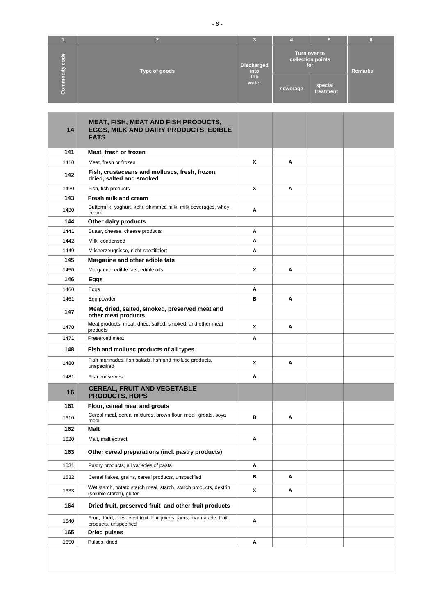| le<br>d<br>ъ<br>$\frac{dy}{dt}$ | <b>Discharged</b><br>Type of goods |              | Turn over to<br>collection points<br>for |                      | <b>Remarks</b> |
|---------------------------------|------------------------------------|--------------|------------------------------------------|----------------------|----------------|
|                                 |                                    | the<br>water | sewerage                                 | special<br>treatment |                |

and the control of the

| 14   | <b>MEAT, FISH, MEAT AND FISH PRODUCTS,</b><br>EGGS, MILK AND DAIRY PRODUCTS, EDIBLE<br><b>FATS</b> |              |   |  |
|------|----------------------------------------------------------------------------------------------------|--------------|---|--|
| 141  | Meat, fresh or frozen                                                                              |              |   |  |
| 1410 | Meat, fresh or frozen                                                                              | $\mathbf{x}$ | A |  |
| 142  | Fish, crustaceans and molluscs, fresh, frozen,<br>dried, salted and smoked                         |              |   |  |
| 1420 | Fish, fish products                                                                                | X            | A |  |
| 143  | Fresh milk and cream                                                                               |              |   |  |
| 1430 | Buttermilk, yoghurt, kefir, skimmed milk, milk beverages, whey,<br>cream                           | Α            |   |  |
| 144  | Other dairy products                                                                               |              |   |  |
| 1441 | Butter, cheese, cheese products                                                                    | Α            |   |  |
| 1442 | Milk, condensed                                                                                    | A            |   |  |
| 1449 | Milcherzeugnisse, nicht spezifiziert                                                               | Α            |   |  |
| 145  | Margarine and other edible fats                                                                    |              |   |  |
| 1450 | Margarine, edible fats, edible oils                                                                | x            | Α |  |
| 146  | Eggs                                                                                               |              |   |  |
| 1460 | Eggs                                                                                               | Α            |   |  |
| 1461 | Egg powder                                                                                         | в            | Α |  |
| 147  | Meat, dried, salted, smoked, preserved meat and<br>other meat products                             |              |   |  |
| 1470 | Meat products: meat, dried, salted, smoked, and other meat<br>products                             | x            | Α |  |
| 1471 | Preserved meat                                                                                     | Α            |   |  |
| 148  | Fish and mollusc products of all types                                                             |              |   |  |
| 1480 | Fish marinades, fish salads, fish and mollusc products,<br>unspecified                             | X            | Α |  |
| 1481 | Fish conserves                                                                                     | A            |   |  |
| 16   | <b>CEREAL, FRUIT AND VEGETABLE</b><br><b>PRODUCTS, HOPS</b>                                        |              |   |  |
| 161  | Flour, cereal meal and groats                                                                      |              |   |  |
| 1610 | Cereal meal, cereal mixtures, brown flour, meal, groats, soya<br>meal                              | B            | A |  |
| 162  | Malt                                                                                               |              |   |  |
| 1620 | Malt, malt extract                                                                                 | Α            |   |  |
| 163  | Other cereal preparations (incl. pastry products)                                                  |              |   |  |
| 1631 | Pastry products, all varieties of pasta                                                            | A            |   |  |
| 1632 | Cereal flakes, grains, cereal products, unspecified                                                | в            | Α |  |
| 1633 | Wet starch, potato starch meal, starch, starch products, dextrin<br>(soluble starch), gluten       | X            | Α |  |
| 164  | Dried fruit, preserved fruit and other fruit products                                              |              |   |  |
| 1640 | Fruit, dried, preserved fruit, fruit juices, jams, marmalade, fruit<br>products, unspecified       | Α            |   |  |
| 165  | <b>Dried pulses</b>                                                                                |              |   |  |
| 1650 | Pulses, dried                                                                                      | Α            |   |  |
|      |                                                                                                    |              |   |  |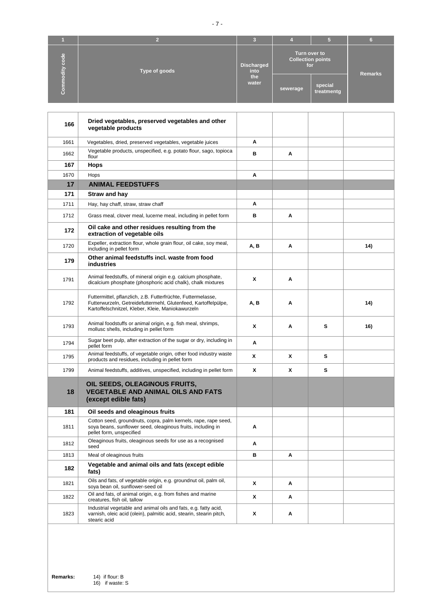|                                             |               | з                         |                                                 |                       |                |
|---------------------------------------------|---------------|---------------------------|-------------------------------------------------|-----------------------|----------------|
| $\frac{e}{\sigma}$<br>$\circ$<br>o<br>odity | Type of goods | <b>Discharged</b><br>into | Turn over to<br><b>Collection points</b><br>for |                       | <b>Remarks</b> |
| $\bullet$                                   |               | the<br>water              | sewerage                                        | special<br>treatmentg |                |

| 166  | Dried vegetables, preserved vegetables and other<br>vegetable products                                                                                                              |      |   |   |     |
|------|-------------------------------------------------------------------------------------------------------------------------------------------------------------------------------------|------|---|---|-----|
| 1661 | Vegetables, dried, preserved vegetables, vegetable juices                                                                                                                           | Α    |   |   |     |
| 1662 | Vegetable products, unspecified, e.g. potato flour, sago, topioca<br>flour                                                                                                          | в    | Α |   |     |
| 167  | <b>Hops</b>                                                                                                                                                                         |      |   |   |     |
| 1670 | Hops                                                                                                                                                                                | A    |   |   |     |
| 17   | <b>ANIMAL FEEDSTUFFS</b>                                                                                                                                                            |      |   |   |     |
| 171  | Straw and hay                                                                                                                                                                       |      |   |   |     |
| 1711 | Hay, hay chaff, straw, straw chaff                                                                                                                                                  | A    |   |   |     |
| 1712 | Grass meal, clover meal, lucerne meal, including in pellet form                                                                                                                     | в    | Α |   |     |
| 172  | Oil cake and other residues resulting from the<br>extraction of vegetable oils                                                                                                      |      |   |   |     |
| 1720 | Expeller, extraction flour, whole grain flour, oil cake, soy meal,<br>including in pellet form                                                                                      | A, B | Α |   | 14) |
| 179  | Other animal feedstuffs incl. waste from food<br><b>industries</b>                                                                                                                  |      |   |   |     |
| 1791 | Animal feedstuffs, of mineral origin e.g. calcium phosphate,<br>dicalcium phosphate (phosphoric acid chalk), chalk mixtures                                                         | X    | Α |   |     |
| 1792 | Futtermittel, pflanzlich, z.B. Futterfrüchte, Futtermelasse,<br>Futterwurzeln, Getreidefuttermehl, Glutenfeed, Kartoffelpülpe,<br>Kartoffelschnitzel, Kleber, Kleie, Maniokawurzeln | A, B | Α |   | 14) |
| 1793 | Animal foodstuffs or animal origin, e.g. fish meal, shrimps,<br>mollusc shells, including in pellet form                                                                            | X    | Α | s | 16) |
| 1794 | Sugar beet pulp, after extraction of the sugar or dry, including in<br>pellet form                                                                                                  | Α    |   |   |     |
| 1795 | Animal feedstuffs, of vegetable origin, other food industry waste<br>products and residues, including in pellet form                                                                | X    | x | s |     |
| 1799 | Animal feedstuffs, additives, unspecified, including in pellet form                                                                                                                 | X    | x | s |     |
| 18   | OIL SEEDS, OLEAGINOUS FRUITS,<br><b>VEGETABLE AND ANIMAL OILS AND FATS</b><br>(except edible fats)                                                                                  |      |   |   |     |
| 181  | Oil seeds and oleaginous fruits                                                                                                                                                     |      |   |   |     |
| 1811 | Cotton seed, groundnuts, copra, palm kernels, rape, rape seed,<br>soya beans, sunflower seed, oleaginous fruits, including in<br>pellet form, unspecified                           | Α    |   |   |     |
| 1812 | Oleaginous fruits, oleaginous seeds for use as a recognised<br>seed                                                                                                                 | Α    |   |   |     |
| 1813 | Meal of oleaginous fruits                                                                                                                                                           | в    | Α |   |     |
| 182  | Vegetable and animal oils and fats (except edible<br>fats)                                                                                                                          |      |   |   |     |
| 1821 | Oils and fats, of vegetable origin, e.g. groundnut oil, palm oil,<br>soya bean oil, sunflower-seed oil                                                                              | X    | Α |   |     |
| 1822 | Oil and fats, of animal origin, e.g. from fishes and marine<br>creatures, fish oil, tallow                                                                                          | X    | Α |   |     |
| 1823 | Industrial vegetable and animal oils and fats, e.g. fatty acid,<br>varnish, oleic acid (olein), palmitic acid, stearin, stearin pitch,<br>stearic acid                              | X    | Α |   |     |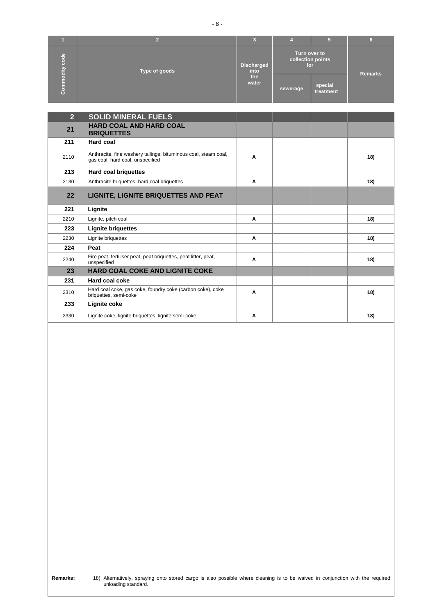|                             |               | з                         |                                          |                      |                |
|-----------------------------|---------------|---------------------------|------------------------------------------|----------------------|----------------|
| le<br>d<br>o<br>h.<br>odity | Type of goods | <b>Discharged</b><br>into | Turn over to<br>collection points<br>for |                      | <b>Remarks</b> |
|                             |               | the<br>water              | sewerage                                 | special<br>treatment |                |

- 8 -

| $\overline{2}$ | <b>SOLID MINERAL FUELS</b>                                                                          |   |     |
|----------------|-----------------------------------------------------------------------------------------------------|---|-----|
| 21             | <b>HARD COAL AND HARD COAL</b><br><b>BRIQUETTES</b>                                                 |   |     |
| 211            | Hard coal                                                                                           |   |     |
| 2110           | Anthracite, fine washery tailings, bituminous coal, steam coal,<br>gas coal, hard coal, unspecified | A | 18) |
| 213            | Hard coal briquettes                                                                                |   |     |
| 2130           | Anthracite briquettes, hard coal briquettes                                                         | Α | 18) |
| 22             | LIGNITE, LIGNITE BRIQUETTES AND PEAT                                                                |   |     |
| 221            | Lignite                                                                                             |   |     |
| 2210           | Lignite, pitch coal                                                                                 | A | 18) |
| 223            | <b>Lignite briguettes</b>                                                                           |   |     |
| 2230           | Lignite briquettes                                                                                  | Α | 18) |
| 224            | Peat                                                                                                |   |     |
| 2240           | Fire peat, fertiliser peat, peat briquettes, peat litter, peat,<br>unspecified                      | Α | 18) |
| 23             | <b>HARD COAL COKE AND LIGNITE COKE</b>                                                              |   |     |
| 231            | <b>Hard coal coke</b>                                                                               |   |     |
| 2310           | Hard coal coke, gas coke, foundry coke (carbon coke), coke<br>briquettes, semi-coke                 | A | 18) |
| 233            | Lignite coke                                                                                        |   |     |
| 2330           | Lignite coke, lignite briquettes, lignite semi-coke                                                 | Α | 18) |

unloading standard.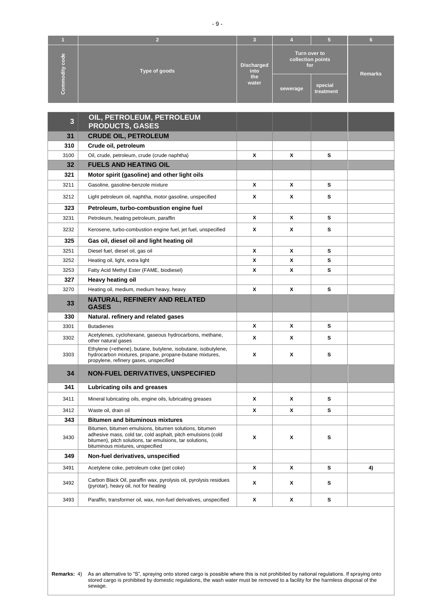|                                     |               | c<br>∼                    |                                          |                      |                |
|-------------------------------------|---------------|---------------------------|------------------------------------------|----------------------|----------------|
| $\frac{e}{\sigma}$<br>$\frac{1}{2}$ | Type of goods | <b>Discharged</b><br>into | Turn over to<br>collection points<br>for |                      | <b>Remarks</b> |
| G                                   |               | the<br>water              | sewerage                                 | special<br>treatment |                |

| $\overline{\mathbf{3}}$ | OIL, PETROLEUM, PETROLEUM<br><b>PRODUCTS, GASES</b>                                                                                                                                                                    |   |   |   |    |
|-------------------------|------------------------------------------------------------------------------------------------------------------------------------------------------------------------------------------------------------------------|---|---|---|----|
| 31                      | <b>CRUDE OIL, PETROLEUM</b>                                                                                                                                                                                            |   |   |   |    |
| 310                     | Crude oil, petroleum                                                                                                                                                                                                   |   |   |   |    |
| 3100                    | Oil, crude, petroleum, crude (crude naphtha)                                                                                                                                                                           | X | X | s |    |
| 32                      | <b>FUELS AND HEATING OIL</b>                                                                                                                                                                                           |   |   |   |    |
| 321                     | Motor spirit (gasoline) and other light oils                                                                                                                                                                           |   |   |   |    |
| 3211                    | Gasoline, gasoline-benzole mixture                                                                                                                                                                                     | X | X | s |    |
| 3212                    | Light petroleum oil, naphtha, motor gasoline, unspecified                                                                                                                                                              | x | x | s |    |
| 323                     | Petroleum, turbo-combustion engine fuel                                                                                                                                                                                |   |   |   |    |
| 3231                    | Petroleum, heating petroleum, paraffin                                                                                                                                                                                 | X | X | s |    |
| 3232                    | Kerosene, turbo-combustion engine fuel, jet fuel, unspecified                                                                                                                                                          | X | х | s |    |
| 325                     | Gas oil, diesel oil and light heating oil                                                                                                                                                                              |   |   |   |    |
| 3251                    | Diesel fuel, diesel oil, gas oil                                                                                                                                                                                       | X | X | s |    |
| 3252                    | Heating oil, light, extra light                                                                                                                                                                                        | χ | X | s |    |
| 3253                    | Fatty Acid Methyl Ester (FAME, biodiesel)                                                                                                                                                                              | x | X | s |    |
| 327                     | Heavy heating oil                                                                                                                                                                                                      |   |   |   |    |
| 3270                    | Heating oil, medium, medium heavy, heavy                                                                                                                                                                               | X | x | s |    |
| 33                      | NATURAL, REFINERY AND RELATED<br><b>GASES</b>                                                                                                                                                                          |   |   |   |    |
| 330                     | Natural. refinery and related gases                                                                                                                                                                                    |   |   |   |    |
| 3301                    | <b>Butadienes</b>                                                                                                                                                                                                      | X | X | s |    |
| 3302                    | Acetylenes, cyclohexane, gaseous hydrocarbons, methane,<br>other natural gases                                                                                                                                         | x | X | s |    |
| 3303                    | Ethylene (=ethene), butane, butylene, isobutane, isobutylene,<br>hydrocarbon mixtures, propane, propane-butane mixtures,<br>propylene, refinery gases, unspecified                                                     | x | x | s |    |
| 34                      | <b>NON-FUEL DERIVATIVES, UNSPECIFIED</b>                                                                                                                                                                               |   |   |   |    |
| 341                     | Lubricating oils and greases                                                                                                                                                                                           |   |   |   |    |
| 3411                    | Mineral lubricating oils, engine oils, lubricating greases                                                                                                                                                             | X | х | s |    |
| 3412                    | Waste oil, drain oil                                                                                                                                                                                                   | X | Х | s |    |
| 343                     | <b>Bitumen and bituminous mixtures</b>                                                                                                                                                                                 |   |   |   |    |
| 3430                    | Bitumen, bitumen emulsions, bitumen solutions, bitumen<br>adhesive mass, cold tar, cold asphalt, pitch emulsions (cold<br>bitumen), pitch solutions, tar emulsions, tar solutions,<br>bituminous mixtures, unspecified | x | x | s |    |
| 349                     | Non-fuel derivatives, unspecified                                                                                                                                                                                      |   |   |   |    |
| 3491                    | Acetylene coke, petroleum coke (pet coke)                                                                                                                                                                              | x | X | s | 4) |
| 3492                    | Carbon Black Oil, paraffin wax, pyrolysis oil, pyrolysis residues<br>(pyrotar), heavy oil, not for heating                                                                                                             | X | X | s |    |
| 3493                    | Paraffin, transformer oil, wax, non-fuel derivatives, unspecified                                                                                                                                                      | X | X | s |    |

**Remarks:** 4) As an alternative to "S", spraying onto stored cargo is possible where this is not prohibited by national regulations. If spraying onto stored cargo is prohibited by domestic regulations, the wash water must be removed to a facility for the harmless disposal of the sewage.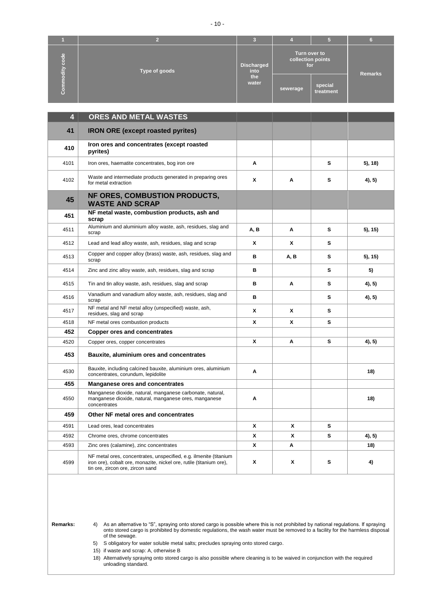|                           |               | œ<br>m                    |                                          |                      |                |
|---------------------------|---------------|---------------------------|------------------------------------------|----------------------|----------------|
| $\omega$<br>ь<br>rs:<br>骨 | Type of goods | <b>Discharged</b><br>into | Turn over to<br>collection points<br>for |                      | <b>Remarks</b> |
| $\mathbf C$               |               | the<br>water              | sewerage                                 | special<br>treatment |                |

| $\overline{\mathbf{4}}$ | ORES AND METAL WASTES                                                                                                                                                        |      |      |   |         |
|-------------------------|------------------------------------------------------------------------------------------------------------------------------------------------------------------------------|------|------|---|---------|
| 41                      | <b>IRON ORE (except roasted pyrites)</b>                                                                                                                                     |      |      |   |         |
| 410                     | Iron ores and concentrates (except roasted<br>pyrites)                                                                                                                       |      |      |   |         |
| 4101                    | Iron ores, haematite concentrates, bog iron ore                                                                                                                              | A    |      | s | 5), 18) |
| 4102                    | Waste and intermediate products generated in preparing ores<br>for metal extraction                                                                                          | X    | Α    | s | 4), 5)  |
| 45                      | NF ORES, COMBUSTION PRODUCTS,<br><b>WASTE AND SCRAP</b>                                                                                                                      |      |      |   |         |
| 451                     | NF metal waste, combustion products, ash and<br>scrap                                                                                                                        |      |      |   |         |
| 4511                    | Aluminium and aluminium alloy waste, ash, residues, slag and<br>scrap                                                                                                        | A, B | A    | s | 5), 15) |
| 4512                    | Lead and lead alloy waste, ash, residues, slag and scrap                                                                                                                     | X    | X    | s |         |
| 4513                    | Copper and copper alloy (brass) waste, ash, residues, slag and<br>scrap                                                                                                      | в    | A, B | s | 5), 15) |
| 4514                    | Zinc and zinc alloy waste, ash, residues, slag and scrap                                                                                                                     | B    |      | s | 5)      |
| 4515                    | Tin and tin alloy waste, ash, residues, slag and scrap                                                                                                                       | в    | A    | s | 4), 5)  |
| 4516                    | Vanadium and vanadium alloy waste, ash, residues, slag and<br>scrap                                                                                                          | B    |      | s | 4, 5)   |
| 4517                    | NF metal and NF metal alloy (unspecified) waste, ash,<br>residues, slag and scrap                                                                                            | X    | X    | s |         |
| 4518                    | NF metal ores combustion products                                                                                                                                            | X    | X    | s |         |
| 452                     | <b>Copper ores and concentrates</b>                                                                                                                                          |      |      |   |         |
| 4520                    | Copper ores, copper concentrates                                                                                                                                             | X    | Α    | s | 4), 5)  |
| 453                     | Bauxite, aluminium ores and concentrates                                                                                                                                     |      |      |   |         |
| 4530                    | Bauxite, including calcined bauxite, aluminium ores, aluminium<br>concentrates, corundum, lepidolite                                                                         | Α    |      |   | 18)     |
| 455                     | <b>Manganese ores and concentrates</b>                                                                                                                                       |      |      |   |         |
| 4550                    | Manganese dioxide, natural, manganese carbonate, natural,<br>manganese dioxide, natural, manganese ores, manganese<br>concentrates                                           | A    |      |   | 18)     |
| 459                     | Other NF metal ores and concentrates                                                                                                                                         |      |      |   |         |
| 4591                    | Lead ores, lead concentrates                                                                                                                                                 | X    | X    | s |         |
| 4592                    | Chrome ores, chrome concentrates                                                                                                                                             | X    | x    | s | 4), 5)  |
| 4593                    | Zinc ores (calamine), zinc concentrates                                                                                                                                      | X    | A    |   | 18)     |
| 4599                    | NF metal ores, concentrates, unspecified, e.g. ilmenite (titanium<br>iron ore), cobalt ore, monazite, nickel ore, rutile (titanium ore),<br>tin ore, zircon ore, zircon sand | X    | X    | s | 4)      |

**Remarks:** 4) As an alternative to "S", spraying onto stored cargo is possible where this is not prohibited by national regulations. If spraying onto stored cargo is prohibited by domestic regulations, the wash water must be removed to a facility for the harmless disposal of the sewage.

5) S obligatory for water soluble metal salts; precludes spraying onto stored cargo.

15) if waste and scrap: A, otherwise B

18) Alternatively spraying onto stored cargo is also possible where cleaning is to be waived in conjunction with the required unloading standard.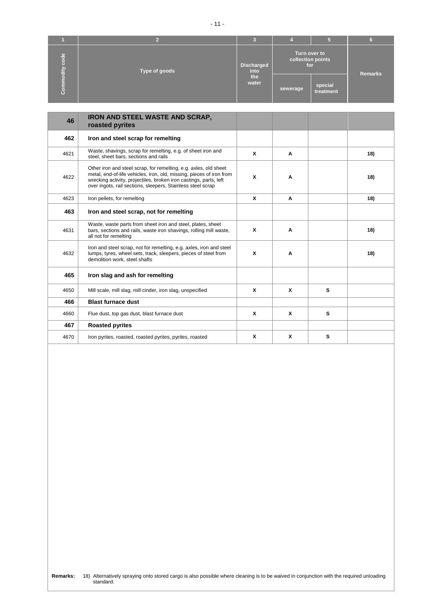|                      |               | G.<br>∼            |                                          |                      |                |
|----------------------|---------------|--------------------|------------------------------------------|----------------------|----------------|
| e,<br>о<br>ō<br>dity | Type of goods | Discharged<br>into | Turn over to<br>collection points<br>for |                      | <b>Remarks</b> |
| $\bullet$<br>ō       |               | the<br>water       | sewerage                                 | special<br>treatment |                |

| 46   | IRON AND STEEL WASTE AND SCRAP,<br>roasted pyrites                                                                                                                                                                                                                           |   |   |   |     |
|------|------------------------------------------------------------------------------------------------------------------------------------------------------------------------------------------------------------------------------------------------------------------------------|---|---|---|-----|
| 462  | Iron and steel scrap for remelting                                                                                                                                                                                                                                           |   |   |   |     |
| 4621 | Waste, shavings, scrap for remelting, e.g. of sheet iron and<br>steel, sheet bars, sections and rails                                                                                                                                                                        | X | Α |   | 18) |
| 4622 | Other iron and steel scrap, for remelting, e.g. axles, old sheet<br>metal, end-of-life vehicles, iron, old, missing, pieces of iron from<br>wrecking activity, projectiles, broken iron castings, parts, left<br>over ingots, rail sections, sleepers, Stainless steel scrap | X | A |   | 18) |
| 4623 | Iron pellets, for remelting                                                                                                                                                                                                                                                  | X | A |   | 18) |
| 463  | Iron and steel scrap, not for remelting                                                                                                                                                                                                                                      |   |   |   |     |
| 4631 | Waste, waste parts from sheet iron and steel, plates, sheet<br>bars, sections and rails, waste iron shavings, rolling mill waste,<br>all not for remelting                                                                                                                   | X | A |   | 18) |
| 4632 | Iron and steel scrap, not for remelting, e.g. axles, iron and steel<br>lumps, tyres, wheel sets, track, sleepers, pieces of steel from<br>demolition work, steel shafts                                                                                                      | X | A |   | 18) |
| 465  | Iron slag and ash for remelting                                                                                                                                                                                                                                              |   |   |   |     |
| 4650 | Mill scale, mill slag, mill cinder, iron slag, unspecified                                                                                                                                                                                                                   | X | X | s |     |
| 466  | <b>Blast furnace dust</b>                                                                                                                                                                                                                                                    |   |   |   |     |
| 4660 | Flue dust, top gas dust, blast furnace dust                                                                                                                                                                                                                                  | X | X | s |     |
| 467  | <b>Roasted pyrites</b>                                                                                                                                                                                                                                                       |   |   |   |     |
| 4670 | Iron pyrites, roasted, roasted pyrites, pyrites, roasted                                                                                                                                                                                                                     | X | X | s |     |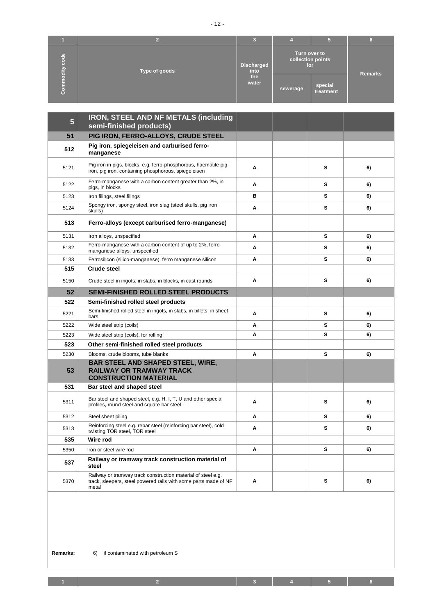| e,<br>Θ<br>ō<br>$\frac{dy}{dt}$ | Type of goods | Turn over to<br>collection points<br><b>Discharged</b><br>for<br>into |          | <b>Remarks</b>       |  |
|---------------------------------|---------------|-----------------------------------------------------------------------|----------|----------------------|--|
| ō<br>G                          |               | the<br>water                                                          | sewerage | special<br>treatment |  |

| 5    | <b>IRON, STEEL AND NF METALS (including</b><br>semi-finished products)                                                                   |   |   |    |
|------|------------------------------------------------------------------------------------------------------------------------------------------|---|---|----|
| 51   | PIG IRON, FERRO-ALLOYS, CRUDE STEEL                                                                                                      |   |   |    |
| 512  | Pig iron, spiegeleisen and carburised ferro-<br>manganese                                                                                |   |   |    |
| 5121 | Pig iron in pigs, blocks, e.g. ferro-phosphorous, haematite pig<br>iron, pig iron, containing phosphorous, spiegeleisen                  | A | s | 6) |
| 5122 | Ferro-manganese with a carbon content greater than 2%, in<br>pigs, in blocks                                                             | A | s | 6) |
| 5123 | Iron filings, steel filings                                                                                                              | в | s | 6) |
| 5124 | Spongy iron, spongy steel, iron slag (steel skulls, pig iron<br>skulls)                                                                  | Α | s | 6) |
| 513  | Ferro-alloys (except carburised ferro-manganese)                                                                                         |   |   |    |
| 5131 | Iron alloys, unspecified                                                                                                                 | A | s | 6) |
| 5132 | Ferro-manganese with a carbon content of up to 2%, ferro-<br>manganese alloys, unspecified                                               | A | s | 6) |
| 5133 | Ferrosilicon (silico-manganese), ferro manganese silicon                                                                                 | A | s | 6) |
| 515  | <b>Crude steel</b>                                                                                                                       |   |   |    |
| 5150 | Crude steel in ingots, in slabs, in blocks, in cast rounds                                                                               | A | s | 6) |
| 52   | <b>SEMI-FINISHED ROLLED STEEL PRODUCTS</b>                                                                                               |   |   |    |
| 522  | Semi-finished rolled steel products                                                                                                      |   |   |    |
| 5221 | Semi-finished rolled steel in ingots, in slabs, in billets, in sheet<br>bars                                                             | A | s | 6) |
| 5222 | Wide steel strip (coils)                                                                                                                 | Α | s | 6) |
| 5223 | Wide steel strip (coils), for rolling                                                                                                    | A | s | 6) |
| 523  | Other semi-finished rolled steel products                                                                                                |   |   |    |
| 5230 | Blooms, crude blooms, tube blanks                                                                                                        | A | s | 6) |
| 53   | <b>BAR STEEL AND SHAPED STEEL, WIRE,</b><br><b>RAILWAY OR TRAMWAY TRACK</b><br><b>CONSTRUCTION MATERIAL</b>                              |   |   |    |
| 531  | Bar steel and shaped steel                                                                                                               |   |   |    |
| 5311 | Bar steel and shaped steel, e.g. H. I, T, U and other special<br>profiles, round steel and square bar steel                              | Α | s | 6) |
| 5312 | Steel sheet piling                                                                                                                       | A | s | 6) |
| 5313 | Reinforcing steel e.g. rebar steel (reinforcing bar steel), cold<br>twisting TOR steel, TOR steel                                        | Α | s | 6) |
| 535  | Wire rod                                                                                                                                 |   |   |    |
| 5350 | Iron or steel wire rod                                                                                                                   | Α | s | 6) |
| 537  | Railway or tramway track construction material of<br>steel                                                                               |   |   |    |
| 5370 | Railway or tramway track construction material of steel e.g.<br>track, sleepers, steel powered rails with some parts made of NF<br>metal | Α | s | 6) |

**1 2 3 4 5 6**

- 12 -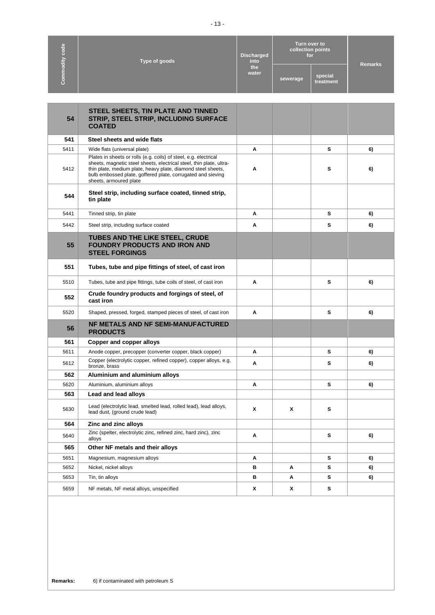| code<br>Type of goods | <b>Discharged</b><br>into<br>the<br>water | Turn over to<br>collection points<br>for |          | <b>Remarks</b>       |  |
|-----------------------|-------------------------------------------|------------------------------------------|----------|----------------------|--|
| Commodity             |                                           |                                          | sewerage | special<br>treatment |  |

| 54   | STEEL SHEETS, TIN PLATE AND TINNED<br>STRIP, STEEL STRIP, INCLUDING SURFACE<br><b>COATED</b>                                                                                                                                                                                                     |   |   |   |    |
|------|--------------------------------------------------------------------------------------------------------------------------------------------------------------------------------------------------------------------------------------------------------------------------------------------------|---|---|---|----|
| 541  | Steel sheets and wide flats                                                                                                                                                                                                                                                                      |   |   |   |    |
| 5411 | Wide flats (universal plate)                                                                                                                                                                                                                                                                     | A |   | s | 6) |
| 5412 | Plates in sheets or rolls (e.g. coils) of steel, e.g. electrical<br>sheets, magnetic steel sheets, electrical steel, thin plate, ultra-<br>thin plate, medium plate, heavy plate, diamond steel sheets,<br>bulb embossed plate, goffered plate, corrugated and sieving<br>sheets, armoured plate | Α |   | s | 6) |
| 544  | Steel strip, including surface coated, tinned strip,<br>tin plate                                                                                                                                                                                                                                |   |   |   |    |
| 5441 | Tinned strip, tin plate                                                                                                                                                                                                                                                                          | Α |   | s | 6) |
| 5442 | Steel strip, including surface coated                                                                                                                                                                                                                                                            | А |   | s | 6) |
| 55   | <b>TUBES AND THE LIKE STEEL, CRUDE</b><br><b>FOUNDRY PRODUCTS AND IRON AND</b><br><b>STEEL FORGINGS</b>                                                                                                                                                                                          |   |   |   |    |
| 551  | Tubes, tube and pipe fittings of steel, of cast iron                                                                                                                                                                                                                                             |   |   |   |    |
| 5510 | Tubes, tube and pipe fittings, tube coils of steel, of cast iron                                                                                                                                                                                                                                 | A |   | s | 6) |
| 552  | Crude foundry products and forgings of steel, of<br>cast iron                                                                                                                                                                                                                                    |   |   |   |    |
| 5520 | Shaped, pressed, forged, stamped pieces of steel, of cast iron                                                                                                                                                                                                                                   | Α |   | s | 6) |
| 56   | NF METALS AND NF SEMI-MANUFACTURED<br><b>PRODUCTS</b>                                                                                                                                                                                                                                            |   |   |   |    |
| 561  | <b>Copper and copper alloys</b>                                                                                                                                                                                                                                                                  |   |   |   |    |
| 5611 | Anode copper, precopper (converter copper, black copper)                                                                                                                                                                                                                                         | Α |   | s | 6) |
| 5612 | Copper (electrolytic copper, refined copper), copper alloys, e.g.<br>bronze, brass                                                                                                                                                                                                               | Α |   | s | 6) |
| 562  | Aluminium and aluminium alloys                                                                                                                                                                                                                                                                   |   |   |   |    |
| 5620 | Aluminium, aluminium alloys                                                                                                                                                                                                                                                                      | Α |   | s | 6) |
| 563  | Lead and lead alloys                                                                                                                                                                                                                                                                             |   |   |   |    |
| 5630 | Lead (electrolytic lead, smelted lead, rolled lead), lead alloys,<br>lead dust, (ground crude lead)                                                                                                                                                                                              | X | X | s |    |
| 564  | Zinc and zinc alloys                                                                                                                                                                                                                                                                             |   |   |   |    |
| 5640 | Zinc (spelter, electrolytic zinc, refined zinc, hard zinc), zinc<br>alloys                                                                                                                                                                                                                       | Α |   | s | 6) |
| 565  | Other NF metals and their alloys                                                                                                                                                                                                                                                                 |   |   |   |    |
| 5651 | Magnesium, magnesium alloys                                                                                                                                                                                                                                                                      | Α |   | s | 6) |
| 5652 | Nickel, nickel alloys                                                                                                                                                                                                                                                                            | в | Α | s | 6) |
| 5653 | Tin, tin alloys                                                                                                                                                                                                                                                                                  | в | Α | s | 6) |
| 5659 | NF metals, NF metal alloys, unspecified                                                                                                                                                                                                                                                          | X | x | s |    |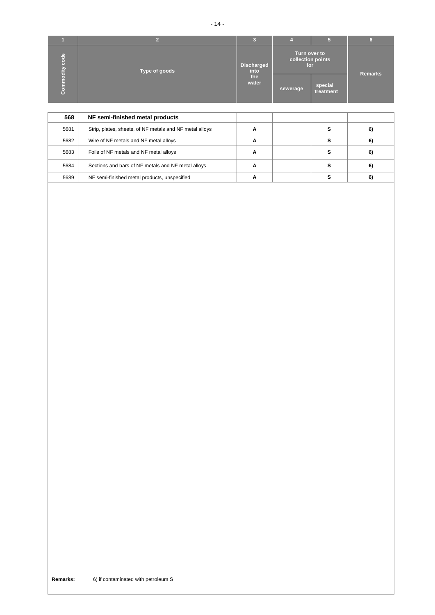|                                 |               | œ                         |                                          |                      |                |
|---------------------------------|---------------|---------------------------|------------------------------------------|----------------------|----------------|
| $\frac{e}{\sigma}$<br>c<br>dity | Type of goods | <b>Discharged</b><br>into | Turn over to<br>collection points<br>for |                      | <b>Remarks</b> |
| г<br>G                          |               | the<br>water              | sewerage                                 | special<br>treatment |                |

| 568  | NF semi-finished metal products                         |   |  |    |
|------|---------------------------------------------------------|---|--|----|
| 5681 | Strip, plates, sheets, of NF metals and NF metal alloys | А |  | 6) |
| 5682 | Wire of NF metals and NF metal alloys                   | А |  | 6) |
| 5683 | Foils of NF metals and NF metal alloys                  | А |  | 6) |
| 5684 | Sections and bars of NF metals and NF metal alloys      | А |  | 6) |
| 5689 | NF semi-finished metal products, unspecified            | А |  | 6) |

**Remarks:** 6) if contaminated with petroleum S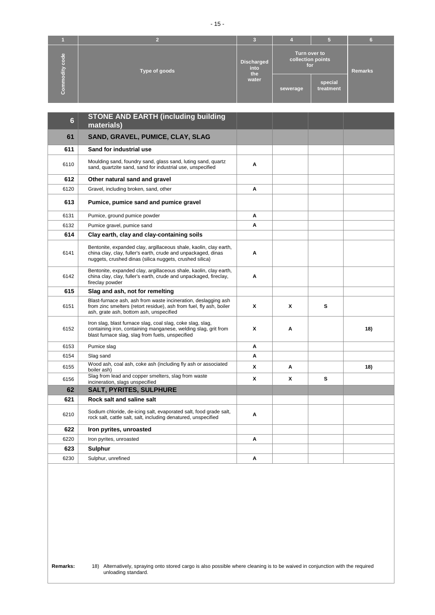|                                    |               | œ<br>m.                          |                                          |                      |                |
|------------------------------------|---------------|----------------------------------|------------------------------------------|----------------------|----------------|
| $\omega$<br>ь<br>rs<br>$rac{1}{2}$ | Type of goods | <b>Discharged</b><br>into<br>the | Turn over to<br>collection points<br>for |                      | <b>Remarks</b> |
| O                                  |               | water                            | sewerage                                 | special<br>treatment |                |

| $6\phantom{a}$ | <b>STONE AND EARTH (including building</b><br>materials)                                                                                                                                      |   |   |   |     |
|----------------|-----------------------------------------------------------------------------------------------------------------------------------------------------------------------------------------------|---|---|---|-----|
| 61             | SAND, GRAVEL, PUMICE, CLAY, SLAG                                                                                                                                                              |   |   |   |     |
| 611            | Sand for industrial use                                                                                                                                                                       |   |   |   |     |
| 6110           | Moulding sand, foundry sand, glass sand, luting sand, quartz<br>sand, quartzite sand, sand for industrial use, unspecified                                                                    | A |   |   |     |
| 612            | Other natural sand and gravel                                                                                                                                                                 |   |   |   |     |
| 6120           | Gravel, including broken, sand, other                                                                                                                                                         | Α |   |   |     |
| 613            | Pumice, pumice sand and pumice gravel                                                                                                                                                         |   |   |   |     |
| 6131           | Pumice, ground pumice powder                                                                                                                                                                  | A |   |   |     |
| 6132           | Pumice gravel, pumice sand                                                                                                                                                                    | A |   |   |     |
| 614            | Clay earth, clay and clay-containing soils                                                                                                                                                    |   |   |   |     |
| 6141           | Bentonite, expanded clay, argillaceous shale, kaolin, clay earth,<br>china clay, clay, fuller's earth, crude and unpackaged, dinas<br>nuggets, crushed dinas (silica nuggets, crushed silica) | Α |   |   |     |
| 6142           | Bentonite, expanded clay, argillaceous shale, kaolin, clay earth,<br>china clay, clay, fuller's earth, crude and unpackaged, fireclay,<br>fireclay powder                                     | Α |   |   |     |
| 615            | Slag and ash, not for remelting                                                                                                                                                               |   |   |   |     |
| 6151           | Blast-furnace ash, ash from waste incineration, deslagging ash<br>from zinc smelters (retort residue), ash from fuel, fly ash, boiler<br>ash, grate ash, bottom ash, unspecified              | X | x | s |     |
| 6152           | Iron slag, blast furnace slag, coal slag, coke slag, slag,<br>containing iron, containing manganese, welding slag, grit from<br>blast furnace slag, slag from fuels, unspecified              | X | Α |   | 18) |
| 6153           | Pumice slag                                                                                                                                                                                   | Α |   |   |     |
| 6154           | Slag sand                                                                                                                                                                                     | Α |   |   |     |
| 6155           | Wood ash, coal ash, coke ash (including fly ash or associated<br>boiler ash)                                                                                                                  | X | Α |   | 18) |
| 6156           | Slag from lead and copper smelters, slag from waste<br>incineration, slags unspecified                                                                                                        | X | x | s |     |
| 62             | <b>SALT, PYRITES, SULPHURE</b>                                                                                                                                                                |   |   |   |     |
| 621            | Rock salt and saline salt                                                                                                                                                                     |   |   |   |     |
| 6210           | Sodium chloride, de-icing salt, evaporated salt, food grade salt,<br>rock salt, cattle salt, salt, including denatured, unspecified                                                           | A |   |   |     |
| 622            | Iron pyrites, unroasted                                                                                                                                                                       |   |   |   |     |
| 6220           | Iron pyrites, unroasted                                                                                                                                                                       | A |   |   |     |
| 623            | <b>Sulphur</b>                                                                                                                                                                                |   |   |   |     |
| 6230           | Sulphur, unrefined                                                                                                                                                                            | Α |   |   |     |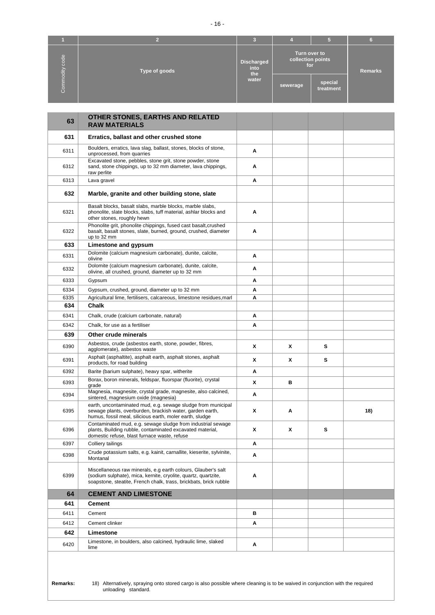| code             | Type of goods | <b>Discharged</b><br>into<br>the | Turn over to<br>collection points<br>for |                      | <b>Remarks</b> |
|------------------|---------------|----------------------------------|------------------------------------------|----------------------|----------------|
| modity<br>Ξ<br>Ō |               | water                            | sewerage                                 | special<br>treatment |                |

| 63   | OTHER STONES, EARTHS AND RELATED<br><b>RAW MATERIALS</b>                                                                                                                                             |   |   |   |     |
|------|------------------------------------------------------------------------------------------------------------------------------------------------------------------------------------------------------|---|---|---|-----|
| 631  | Erratics, ballast and other crushed stone                                                                                                                                                            |   |   |   |     |
| 6311 | Boulders, erratics, lava slag, ballast, stones, blocks of stone,<br>unprocessed, from quarries                                                                                                       | Α |   |   |     |
| 6312 | Excavated stone, pebbles, stone grit, stone powder, stone<br>sand, stone chippings, up to 32 mm diameter, lava chippings,<br>raw perlite                                                             | Α |   |   |     |
| 6313 | Lava gravel                                                                                                                                                                                          | Α |   |   |     |
| 632  | Marble, granite and other building stone, slate                                                                                                                                                      |   |   |   |     |
| 6321 | Basalt blocks, basalt slabs, marble blocks, marble slabs,<br>phonolite, slate blocks, slabs, tuff material, ashlar blocks and<br>other stones, roughly hewn                                          | Α |   |   |     |
| 6322 | Phonolite grit, phonolite chippings, fused cast basalt, crushed<br>basalt, basalt stones, slate, burned, ground, crushed, diameter<br>up to 32 mm                                                    | A |   |   |     |
| 633  | Limestone and gypsum                                                                                                                                                                                 |   |   |   |     |
| 6331 | Dolomite (calcium magnesium carbonate), dunite, calcite,<br>olivine                                                                                                                                  | Α |   |   |     |
| 6332 | Dolomite (calcium magnesium carbonate), dunite, calcite,<br>olivine, all crushed, ground, diameter up to 32 mm                                                                                       | Α |   |   |     |
| 6333 | Gypsum                                                                                                                                                                                               | Α |   |   |     |
| 6334 | Gypsum, crushed, ground, diameter up to 32 mm                                                                                                                                                        | Α |   |   |     |
| 6335 | Agricultural lime, fertilisers, calcareous, limestone residues, marl                                                                                                                                 | Α |   |   |     |
| 634  | Chalk                                                                                                                                                                                                |   |   |   |     |
| 6341 | Chalk, crude (calcium carbonate, natural)                                                                                                                                                            | Α |   |   |     |
| 6342 | Chalk, for use as a fertiliser                                                                                                                                                                       | Α |   |   |     |
| 639  | Other crude minerals                                                                                                                                                                                 |   |   |   |     |
| 6390 | Asbestos, crude (asbestos earth, stone, powder, fibres,<br>agglomerate), asbestos waste                                                                                                              | x | х | s |     |
| 6391 | Asphalt (asphaltite), asphalt earth, asphalt stones, asphalt<br>products, for road building                                                                                                          | χ | X | s |     |
| 6392 | Barite (barium sulphate), heavy spar, witherite                                                                                                                                                      | Α |   |   |     |
| 6393 | Borax, boron minerals, feldspar, fluorspar (fluorite), crystal<br>grade                                                                                                                              | X | в |   |     |
| 6394 | Magnesia, magnesite, crystal grade, magnesite, also calcined,<br>sintered, magnesium oxide (magnesia)                                                                                                | Α |   |   |     |
| 6395 | earth, uncontaminated mud, e.g. sewage sludge from municipal<br>sewage plants, overburden, brackish water, garden earth,<br>humus, fossil meal, silicious earth, moler earth, sludge                 | X | Α |   | 18) |
| 6396 | Contaminated mud, e.g. sewage sludge from industrial sewage<br>plants, Building rubble, contaminated excavated material,<br>domestic refuse, blast furnace waste, refuse                             | X | X | s |     |
| 6397 | Colliery tailings                                                                                                                                                                                    | A |   |   |     |
| 6398 | Crude potassium salts, e.g. kainit, carnallite, kieserite, sylvinite,<br>Montanal                                                                                                                    | Α |   |   |     |
| 6399 | Miscellaneous raw minerals, e.g earth colours, Glauber's salt<br>(sodium sulphate), mica, kernite, cryolite, quartz, quartzite,<br>soapstone, steatite, French chalk, trass, brickbats, brick rubble | Α |   |   |     |
| 64   | <b>CEMENT AND LIMESTONE</b>                                                                                                                                                                          |   |   |   |     |
| 641  | <b>Cement</b>                                                                                                                                                                                        |   |   |   |     |
| 6411 | Cement                                                                                                                                                                                               | в |   |   |     |
| 6412 | Cement clinker                                                                                                                                                                                       | Α |   |   |     |
| 642  | Limestone                                                                                                                                                                                            |   |   |   |     |
| 6420 | Limestone, in boulders, also calcined, hydraulic lime, slaked                                                                                                                                        | Α |   |   |     |
|      | lime                                                                                                                                                                                                 |   |   |   |     |

**Remarks:** 18) Alternatively, spraying onto stored cargo is also possible where cleaning is to be waived in conjunction with the required unloading standard.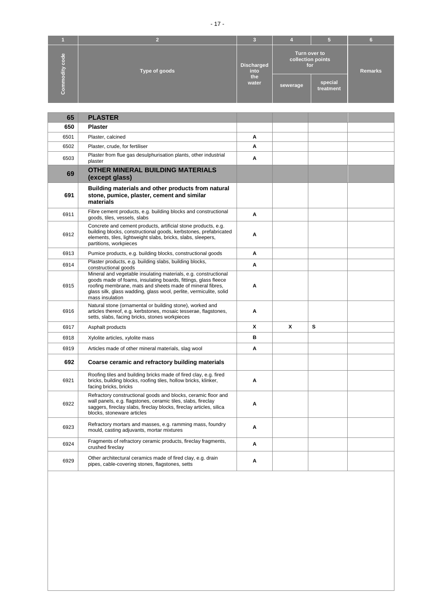|                                  |               | u<br>m                    |                                          |                      |                |
|----------------------------------|---------------|---------------------------|------------------------------------------|----------------------|----------------|
| $\frac{e}{\sigma}$<br>ō<br>odity | Type of goods | <b>Discharged</b><br>into | Turn over to<br>collection points<br>for |                      | <b>Remarks</b> |
| Ξ<br>Ε<br>8                      |               | the<br>water              | sewerage                                 | special<br>treatment |                |

| 65   | <b>PLASTER</b>                                                                                                                                                                                                                                                                          |   |   |   |  |
|------|-----------------------------------------------------------------------------------------------------------------------------------------------------------------------------------------------------------------------------------------------------------------------------------------|---|---|---|--|
| 650  | <b>Plaster</b>                                                                                                                                                                                                                                                                          |   |   |   |  |
| 6501 | Plaster, calcined                                                                                                                                                                                                                                                                       | Α |   |   |  |
| 6502 | Plaster, crude, for fertiliser                                                                                                                                                                                                                                                          | A |   |   |  |
| 6503 | Plaster from flue gas desulphurisation plants, other industrial<br>plaster                                                                                                                                                                                                              | Α |   |   |  |
| 69   | OTHER MINERAL BUILDING MATERIALS<br>(except glass)                                                                                                                                                                                                                                      |   |   |   |  |
| 691  | Building materials and other products from natural<br>stone, pumice, plaster, cement and similar<br>materials                                                                                                                                                                           |   |   |   |  |
| 6911 | Fibre cement products, e.g. building blocks and constructional<br>goods, tiles, vessels, slabs                                                                                                                                                                                          | A |   |   |  |
| 6912 | Concrete and cement products, artificial stone products, e.g.<br>building blocks, constructional goods, kerbstones, prefabricated<br>elements, tiles, lightweight slabs, bricks, slabs, sleepers,<br>partitions, workpieces                                                             | Α |   |   |  |
| 6913 | Pumice products, e.g. building blocks, constructional goods                                                                                                                                                                                                                             | A |   |   |  |
| 6914 | Plaster products, e.g. building slabs, building blocks,<br>constructional goods                                                                                                                                                                                                         | A |   |   |  |
| 6915 | Mineral and vegetable insulating materials, e.g. constructional<br>goods made of foams, insulating boards, fittings, glass fleece<br>roofing membrane, mats and sheets made of mineral fibres,<br>glass silk, glass wadding, glass wool, perlite, vermiculite, solid<br>mass insulation | Α |   |   |  |
| 6916 | Natural stone (ornamental or building stone), worked and<br>articles thereof, e.g. kerbstones, mosaic tesserae, flagstones,<br>setts, slabs, facing bricks, stones workpieces                                                                                                           | Α |   |   |  |
| 6917 | Asphalt products                                                                                                                                                                                                                                                                        | X | X | s |  |
| 6918 | Xylolite articles, xylolite mass                                                                                                                                                                                                                                                        | B |   |   |  |
| 6919 | Articles made of other mineral materials, slag wool                                                                                                                                                                                                                                     | Α |   |   |  |
| 692  | Coarse ceramic and refractory building materials                                                                                                                                                                                                                                        |   |   |   |  |
| 6921 | Roofing tiles and building bricks made of fired clay, e.g. fired<br>bricks, building blocks, roofing tiles, hollow bricks, klinker,<br>facing bricks, bricks                                                                                                                            | A |   |   |  |
| 6922 | Refractory constructional goods and blocks, ceramic floor and<br>wall panels, e.g. flagstones, ceramic tiles, slabs, fireclay<br>saggers, fireclay slabs, fireclay blocks, fireclay articles, silica<br>blocks, stoneware articles                                                      | Α |   |   |  |
| 6923 | Refractory mortars and masses, e.g. ramming mass, foundry<br>mould, casting adjuvants, mortar mixtures                                                                                                                                                                                  | Α |   |   |  |
| 6924 | Fragments of refractory ceramic products, fireclay fragments,<br>crushed fireclay                                                                                                                                                                                                       | Α |   |   |  |
| 6929 | Other architectural ceramics made of fired clay, e.g. drain<br>pipes, cable-covering stones, flagstones, setts                                                                                                                                                                          | Α |   |   |  |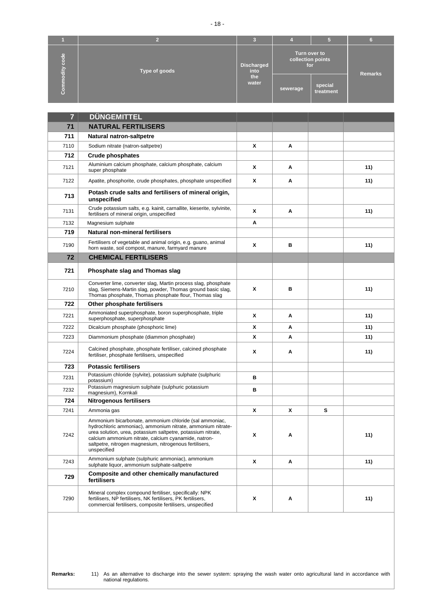|                        |               | 3                         |                                          |                      |                |
|------------------------|---------------|---------------------------|------------------------------------------|----------------------|----------------|
| <b>abo</b><br>o<br>laj | Type of goods | <b>Discharged</b><br>into | Turn over to<br>collection points<br>for |                      | <b>Remarks</b> |
| (e)<br>Ξ<br>о<br>O     |               | the<br>water              | sewerage                                 | special<br>treatment |                |

| $\overline{7}$ | <b>DÜNGEMITTEL</b>                                                                                                                                                                                                                                                                                                      |   |   |   |     |
|----------------|-------------------------------------------------------------------------------------------------------------------------------------------------------------------------------------------------------------------------------------------------------------------------------------------------------------------------|---|---|---|-----|
| 71             | <b>NATURAL FERTILISERS</b>                                                                                                                                                                                                                                                                                              |   |   |   |     |
| 711            | Natural natron-saltpetre                                                                                                                                                                                                                                                                                                |   |   |   |     |
| 7110           | Sodium nitrate (natron-saltpetre)                                                                                                                                                                                                                                                                                       | X | А |   |     |
| 712            | <b>Crude phosphates</b>                                                                                                                                                                                                                                                                                                 |   |   |   |     |
| 7121           | Aluminium calcium phosphate, calcium phosphate, calcium<br>super phosphate                                                                                                                                                                                                                                              | X | Α |   | 11) |
| 7122           | Apatite, phosphorite, crude phosphates, phosphate unspecified                                                                                                                                                                                                                                                           | X | Α |   | 11) |
| 713            | Potash crude salts and fertilisers of mineral origin,<br>unspecified                                                                                                                                                                                                                                                    |   |   |   |     |
| 7131           | Crude potassium salts, e.g. kainit, carnallite, kieserite, sylvinite,<br>fertilisers of mineral origin, unspecified                                                                                                                                                                                                     | X | Α |   | 11) |
| 7132           | Magnesium sulphate                                                                                                                                                                                                                                                                                                      | Α |   |   |     |
| 719            | <b>Natural non-mineral fertilisers</b>                                                                                                                                                                                                                                                                                  |   |   |   |     |
| 7190           | Fertilisers of vegetable and animal origin, e.g. guano, animal<br>horn waste, soil compost, manure, farmyard manure                                                                                                                                                                                                     | X | в |   | 11) |
| 72             | <b>CHEMICAL FERTILISERS</b>                                                                                                                                                                                                                                                                                             |   |   |   |     |
| 721            | Phosphate slag and Thomas slag                                                                                                                                                                                                                                                                                          |   |   |   |     |
| 7210           | Converter lime, converter slag, Martin process slag, phosphate<br>slag, Siemens-Martin slag, powder, Thomas ground basic slag,<br>Thomas phosphate, Thomas phosphate flour, Thomas slag                                                                                                                                 | X | в |   | 11) |
| 722            | Other phosphate fertilisers                                                                                                                                                                                                                                                                                             |   |   |   |     |
| 7221           | Ammoniated superphosphate, boron superphosphate, triple<br>superphosphate, superphosphate                                                                                                                                                                                                                               | X | Α |   | 11) |
| 7222           | Dicalcium phosphate (phosphoric lime)                                                                                                                                                                                                                                                                                   | x | Α |   | 11) |
| 7223           | Diammonium phosphate (diammon phosphate)                                                                                                                                                                                                                                                                                | X | Α |   | 11) |
| 7224           | Calcined phosphate, phosphate fertiliser, calcined phosphate<br>fertiliser, phosphate fertilisers, unspecified                                                                                                                                                                                                          | X | Α |   | 11) |
| 723            | <b>Potassic fertilisers</b>                                                                                                                                                                                                                                                                                             |   |   |   |     |
| 7231           | Potassium chloride (sylvite), potassium sulphate (sulphuric<br>potassium)                                                                                                                                                                                                                                               | в |   |   |     |
| 7232           | Potassium magnesium sulphate (sulphuric potassium<br>magnesium), Kornkali                                                                                                                                                                                                                                               | в |   |   |     |
| 724            | <b>Nitrogenous fertilisers</b>                                                                                                                                                                                                                                                                                          |   |   |   |     |
| 7241           | Ammonia gas                                                                                                                                                                                                                                                                                                             | X | x | s |     |
| 7242           | Ammonium bicarbonate, ammonium chloride (sal ammoniac,<br>hydrochloric ammoniac), ammonium nitrate, ammonium nitrate-<br>urea solution, urea, potassium saltpetre, potassium nitrate,<br>calcium ammonium nitrate, calcium cyanamide, natron-<br>saltpetre, nitrogen magnesium, nitrogenous fertilisers,<br>unspecified | X | Α |   | 11) |
| 7243           | Ammonium sulphate (sulphuric ammoniac), ammonium<br>sulphate liquor, ammonium sulphate-saltpetre                                                                                                                                                                                                                        | X | Α |   | 11) |
| 729            | Composite and other chemically manufactured<br>fertilisers                                                                                                                                                                                                                                                              |   |   |   |     |
| 7290           | Mineral complex compound fertiliser, specifically: NPK<br>fertilisers, NP fertilisers, NK fertilisers, PK fertilisers,<br>commercial fertilisers, composite fertilisers, unspecified                                                                                                                                    | X | Α |   | 11) |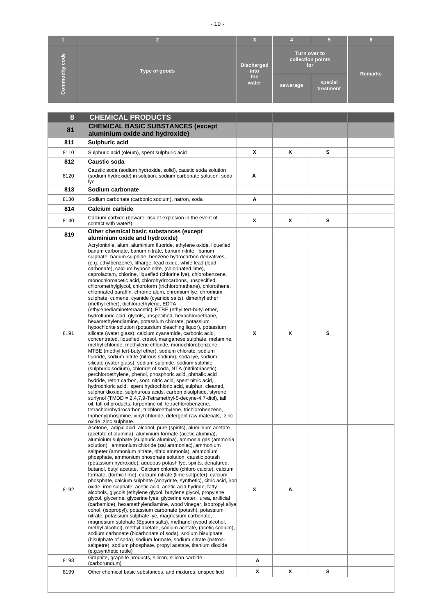| -용<br>o<br>dity<br>$\mathbf C$ | Type of goods | <b>Discharged</b><br>into<br>the<br>water | Turn over to<br>collection points<br>for<br>sewerage | special<br>treatment | <b>Remarks</b> |
|--------------------------------|---------------|-------------------------------------------|------------------------------------------------------|----------------------|----------------|

| 8    | <b>CHEMICAL PRODUCTS</b>                                                                                                                                                                                                                                                                                                                                                                                                                                                                                                                                                                                                                                                                                                                                                                                                                                                                                                                                                                                                                                                                                                                                                                                                                                                                                                                                                                                                                                                                                                                                                                                                                                                                                                                                                                                                                                                                                                                                        |   |   |   |  |
|------|-----------------------------------------------------------------------------------------------------------------------------------------------------------------------------------------------------------------------------------------------------------------------------------------------------------------------------------------------------------------------------------------------------------------------------------------------------------------------------------------------------------------------------------------------------------------------------------------------------------------------------------------------------------------------------------------------------------------------------------------------------------------------------------------------------------------------------------------------------------------------------------------------------------------------------------------------------------------------------------------------------------------------------------------------------------------------------------------------------------------------------------------------------------------------------------------------------------------------------------------------------------------------------------------------------------------------------------------------------------------------------------------------------------------------------------------------------------------------------------------------------------------------------------------------------------------------------------------------------------------------------------------------------------------------------------------------------------------------------------------------------------------------------------------------------------------------------------------------------------------------------------------------------------------------------------------------------------------|---|---|---|--|
|      | <b>CHEMICAL BASIC SUBSTANCES (except</b>                                                                                                                                                                                                                                                                                                                                                                                                                                                                                                                                                                                                                                                                                                                                                                                                                                                                                                                                                                                                                                                                                                                                                                                                                                                                                                                                                                                                                                                                                                                                                                                                                                                                                                                                                                                                                                                                                                                        |   |   |   |  |
| 81   | aluminium oxide and hydroxide)                                                                                                                                                                                                                                                                                                                                                                                                                                                                                                                                                                                                                                                                                                                                                                                                                                                                                                                                                                                                                                                                                                                                                                                                                                                                                                                                                                                                                                                                                                                                                                                                                                                                                                                                                                                                                                                                                                                                  |   |   |   |  |
| 811  | Sulphuric acid                                                                                                                                                                                                                                                                                                                                                                                                                                                                                                                                                                                                                                                                                                                                                                                                                                                                                                                                                                                                                                                                                                                                                                                                                                                                                                                                                                                                                                                                                                                                                                                                                                                                                                                                                                                                                                                                                                                                                  |   |   |   |  |
| 8110 | Sulphuric acid (oleum), spent sulphuric acid                                                                                                                                                                                                                                                                                                                                                                                                                                                                                                                                                                                                                                                                                                                                                                                                                                                                                                                                                                                                                                                                                                                                                                                                                                                                                                                                                                                                                                                                                                                                                                                                                                                                                                                                                                                                                                                                                                                    | X | x | s |  |
| 812  | Caustic soda                                                                                                                                                                                                                                                                                                                                                                                                                                                                                                                                                                                                                                                                                                                                                                                                                                                                                                                                                                                                                                                                                                                                                                                                                                                                                                                                                                                                                                                                                                                                                                                                                                                                                                                                                                                                                                                                                                                                                    |   |   |   |  |
| 8120 | Caustic soda (sodium hydroxide, solid), caustic soda solution<br>(sodium hydroxide) in solution, sodium carbonate solution, soda<br>lye                                                                                                                                                                                                                                                                                                                                                                                                                                                                                                                                                                                                                                                                                                                                                                                                                                                                                                                                                                                                                                                                                                                                                                                                                                                                                                                                                                                                                                                                                                                                                                                                                                                                                                                                                                                                                         | Α |   |   |  |
| 813  | Sodium carbonate                                                                                                                                                                                                                                                                                                                                                                                                                                                                                                                                                                                                                                                                                                                                                                                                                                                                                                                                                                                                                                                                                                                                                                                                                                                                                                                                                                                                                                                                                                                                                                                                                                                                                                                                                                                                                                                                                                                                                |   |   |   |  |
| 8130 | Sodium carbonate (carbonic sodium), natron, soda                                                                                                                                                                                                                                                                                                                                                                                                                                                                                                                                                                                                                                                                                                                                                                                                                                                                                                                                                                                                                                                                                                                                                                                                                                                                                                                                                                                                                                                                                                                                                                                                                                                                                                                                                                                                                                                                                                                | Α |   |   |  |
| 814  | <b>Calcium carbide</b>                                                                                                                                                                                                                                                                                                                                                                                                                                                                                                                                                                                                                                                                                                                                                                                                                                                                                                                                                                                                                                                                                                                                                                                                                                                                                                                                                                                                                                                                                                                                                                                                                                                                                                                                                                                                                                                                                                                                          |   |   |   |  |
| 8140 | Calcium carbide (beware: risk of explosion in the event of<br>contact with water!)                                                                                                                                                                                                                                                                                                                                                                                                                                                                                                                                                                                                                                                                                                                                                                                                                                                                                                                                                                                                                                                                                                                                                                                                                                                                                                                                                                                                                                                                                                                                                                                                                                                                                                                                                                                                                                                                              | X | x | s |  |
| 819  | Other chemical basic substances (except<br>aluminium oxide and hydroxide)                                                                                                                                                                                                                                                                                                                                                                                                                                                                                                                                                                                                                                                                                                                                                                                                                                                                                                                                                                                                                                                                                                                                                                                                                                                                                                                                                                                                                                                                                                                                                                                                                                                                                                                                                                                                                                                                                       |   |   |   |  |
| 8191 | Acrylonitrile, alum, aluminium fluoride, ethylene oxide, liquefied,<br>barium carbonate, barium nitrate, barium nitrite, barium<br>sulphate, barium sulphide, benzene hydrocarbon derivatives,<br>(e.g. ethylbenzene), litharge, lead oxide, white lead (lead<br>carbonate), calcium hypochlorite, (chlorinated lime),<br>caprolactam, chlorine, liquefied (chlorine lye), chlorobenzene,<br>monochloroacetic acid, chlorohydrocarbons, unspecified,<br>chloromethylglycol, chloroform (trichloromethane), chlorothene,<br>chlorinated paraffin, chrome alum, chromium lye, chromium<br>sulphate, cumene, cyanide (cyanide salts), dimethyl ether<br>(methyl ether), dichloroethylene, EDTA<br>(ethylenediaminetetraacetic), ETBE (ethyl tert-butyl ether,<br>hydrofluoric acid, glycols, unspecified, hexachloroethane,<br>hexamethylendiamine, potassium chlorate, potassium<br>hypochlorite solution (potassium bleaching liquor), potassium<br>silicate (water glass), calcium cyanamide, carbonic acid,<br>concentrated, liquefied, cresol, manganese sulphate, melamine,<br>methyl chloride, methylene chloride, monochlorobenzene,<br>MTBE (methyl tert-butyl ether), sodium chlorate, sodium<br>fluoride, sodium nitrite (nitrous sodium), soda lye, sodium<br>silicate (water glass), sodium sulphide, sodium sulphite<br>(sulphuric sodium), chloride of soda, NTA (nitrilotriacetic),<br>perchloroethylene, phenol, phosphoric acid, phthalic acid<br>hydride, retort carbon, soot, nitric acid, spent nitric acid,<br>hydrochloric acid, spent hydrochloric acid, sulphur, cleaned,<br>sulphur dioxide, sulphurous acids, carbon disulphide, styrene,<br>surfynol (TMDD = 2,4,7,9-Tetramethyl-5-decyne-4,7-diol), tall<br>oil, tall oil products, turpentine oil, tetrachlorobenzene,<br>tetrachlorohydrocarbon, trichloroethylene, trichlorobenzene,<br>triphenylphosphine, vinyl chloride, detergent raw materials, zinc<br>oxide, zinc sulphate. | X | x | s |  |
| 8192 | Acetone, adipic acid, alcohol, pure (spirits), aluminium acetate<br>(acetate of alumina), aluminium formate (acetic alumina),<br>aluminium sulphate (sulphuric alumina), ammonia gas (ammonia<br>solution), ammonium chloride (sal ammoniac), ammonium<br>saltpeter (ammonium nitrate, nitric ammonia), ammonium<br>phosphate, ammonium phosphate solution, caustic potash<br>(potassium hydroxide), aqueous potash lye, spirits, denatured,<br>butanol, butyl acetate, Calcium chloride (chloro calcite), calcium<br>formate, (formic lime), calcium nitrate (lime saltpeter), calcium<br>phosphate, calcium sulphate (anhydrite, synthetic), citric acid, iror<br>oxide, iron sulphate, acetic acid, acetic acid hydride, fatty<br>alcohols, glycols (ethylene glycol, butylene glycol, propylene<br>glycol, glycerine, glycerine lyes, glycerine water, urea, artificial<br>(carbamide), hexamethylendiamine, wood vinegar, isopropyl allye<br>cohol, (isopropyl), potassium carbonate (potash), potassium<br>nitrate, potassium sulphate lye, magnesium carbonate,<br>magnesium sulphate (Epsom salts), methanol (wood alcohol,<br>methyl alcohol), methyl acetate, sodium acetate, (acetic sodium),<br>sodium carbonate (bicarbonate of soda), sodium bisulphate<br>(bisulphate of soda), sodium formate, sodium nitrate (natron-<br>saltpetre), sodium phosphate, propyl acetate, titanium dioxide<br>(e.g.synthetic rutile)                                                                                                                                                                                                                                                                                                                                                                                                                                                                                                                              | X | Α |   |  |
| 8193 | Graphite, graphite products, silicon, silicon carbide<br>(carborundum)                                                                                                                                                                                                                                                                                                                                                                                                                                                                                                                                                                                                                                                                                                                                                                                                                                                                                                                                                                                                                                                                                                                                                                                                                                                                                                                                                                                                                                                                                                                                                                                                                                                                                                                                                                                                                                                                                          | Α |   |   |  |
| 8199 | Other chemical basic substances, and mixtures, unspecified                                                                                                                                                                                                                                                                                                                                                                                                                                                                                                                                                                                                                                                                                                                                                                                                                                                                                                                                                                                                                                                                                                                                                                                                                                                                                                                                                                                                                                                                                                                                                                                                                                                                                                                                                                                                                                                                                                      | X | x | s |  |
|      |                                                                                                                                                                                                                                                                                                                                                                                                                                                                                                                                                                                                                                                                                                                                                                                                                                                                                                                                                                                                                                                                                                                                                                                                                                                                                                                                                                                                                                                                                                                                                                                                                                                                                                                                                                                                                                                                                                                                                                 |   |   |   |  |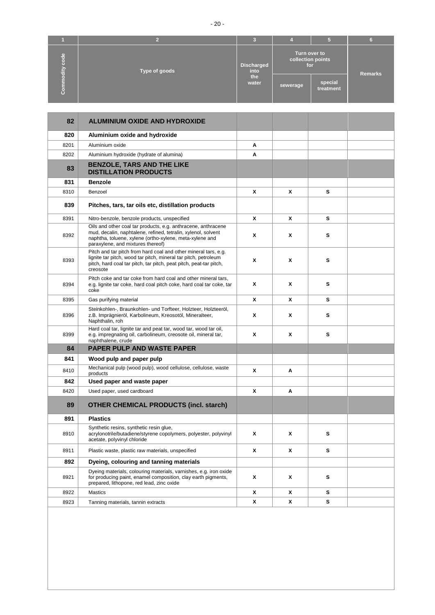|                                  |               | c                         |                                          |                      |                |
|----------------------------------|---------------|---------------------------|------------------------------------------|----------------------|----------------|
| <b>abo</b><br>ō<br>$\frac{1}{2}$ | Type of goods | <b>Discharged</b><br>into | Turn over to<br>collection points<br>for |                      | <b>Remarks</b> |
| $\bullet$<br>$\circ$             |               | the<br>water              | sewerage                                 | special<br>treatment |                |

| 82   | <b>ALUMINIUM OXIDE AND HYDROXIDE</b>                                                                                                                                                                                           |   |   |   |  |
|------|--------------------------------------------------------------------------------------------------------------------------------------------------------------------------------------------------------------------------------|---|---|---|--|
| 820  | Aluminium oxide and hydroxide                                                                                                                                                                                                  |   |   |   |  |
| 8201 | Aluminium oxide                                                                                                                                                                                                                | Α |   |   |  |
| 8202 | Aluminium hydroxide (hydrate of alumina)                                                                                                                                                                                       | Α |   |   |  |
| 83   | <b>BENZOLE, TARS AND THE LIKE</b><br><b>DISTILLATION PRODUCTS</b>                                                                                                                                                              |   |   |   |  |
| 831  | <b>Benzole</b>                                                                                                                                                                                                                 |   |   |   |  |
| 8310 | Benzoel                                                                                                                                                                                                                        | X | x | s |  |
| 839  | Pitches, tars, tar oils etc, distillation products                                                                                                                                                                             |   |   |   |  |
| 8391 | Nitro-benzole, benzole products, unspecified                                                                                                                                                                                   | X | x | s |  |
| 8392 | Oils and other coal tar products, e.g. anthracene, anthracene<br>mud, decalin, naphtalene, refined, tetralin, xylenol, solvent<br>naphtha, toluene, xylene (ortho-xylene, meta-xylene and<br>paraxylene, and mixtures thereof) | X | x | s |  |
| 8393 | Pitch and tar pitch from hard coal and other mineral tars, e.g.<br>lignite tar pitch, wood tar pitch, mineral tar pitch, petroleum<br>pitch, hard coal tar pitch, tar pitch, peat pitch, peat-tar pitch,<br>creosote           | X | x | s |  |
| 8394 | Pitch coke and tar coke from hard coal and other mineral tars,<br>e.g. lignite tar coke, hard coal pitch coke, hard coal tar coke, tar<br>coke                                                                                 | X | x | s |  |
| 8395 | Gas purifying material                                                                                                                                                                                                         | X | x | s |  |
| 8396 | Steinkohlen-, Braunkohlen- und Torfteer, Holzteer, Holzteeröl,<br>z.B. Imprägnieröl, Karbolineum, Kreosotöl, Mineralteer,<br>Naphthalin, roh                                                                                   | X | x | s |  |
| 8399 | Hard coal tar, lignite tar and peat tar, wood tar, wood tar oil,<br>e.g. impregnating oil, carbolineum, creosote oil, mineral tar,<br>naphthalene, crude                                                                       | X | x | s |  |
| 84   | <b>PAPER PULP AND WASTE PAPER</b>                                                                                                                                                                                              |   |   |   |  |
| 841  | Wood pulp and paper pulp                                                                                                                                                                                                       |   |   |   |  |
| 8410 | Mechanical pulp (wood pulp), wood cellulose, cellulose, waste<br>products                                                                                                                                                      | X | Α |   |  |
| 842  | Used paper and waste paper                                                                                                                                                                                                     |   |   |   |  |
| 8420 | Used paper, used cardboard                                                                                                                                                                                                     | X | Α |   |  |
| 89   | <b>OTHER CHEMICAL PRODUCTS (incl. starch)</b>                                                                                                                                                                                  |   |   |   |  |
| 891  | <b>Plastics</b>                                                                                                                                                                                                                |   |   |   |  |
| 8910 | Synthetic resins, synthetic resin glue,<br>acrylonotrile/butadiene/styrene copolymers, polyester, polyvinyl<br>acetate, polyvinyl chloride                                                                                     | X | x | s |  |
| 8911 | Plastic waste, plastic raw materials, unspecified                                                                                                                                                                              | X | x | s |  |
| 892  | Dyeing, colouring and tanning materials                                                                                                                                                                                        |   |   |   |  |
| 8921 | Dyeing materials, colouring materials, varnishes, e.g. iron oxide<br>for producing paint, enamel composition, clay earth pigments,<br>prepared, lithopone, red lead, zinc oxide                                                | X | x | s |  |
| 8922 | <b>Mastics</b>                                                                                                                                                                                                                 | x | x | s |  |
| 8923 | Tanning materials, tannin extracts                                                                                                                                                                                             | X | x | s |  |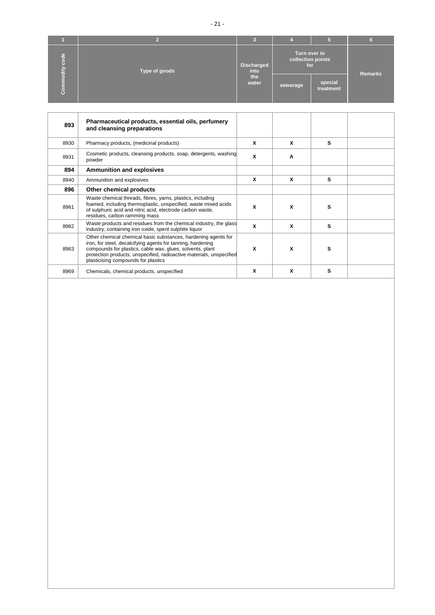|                                       |               | 3                                         |                                          |                      |         |
|---------------------------------------|---------------|-------------------------------------------|------------------------------------------|----------------------|---------|
| ode<br>ō<br>odity<br>Ξ<br>$\mathbf C$ | Type of goods | <b>Discharged</b><br>into<br>the<br>water | Turn over to<br>collection points<br>for |                      | Remarks |
|                                       |               |                                           | sewerage,                                | special<br>treatment |         |

| 893  | Pharmaceutical products, essential oils, perfumery<br>and cleansing preparations                                                                                                                                                                                                                          |   |   |   |  |
|------|-----------------------------------------------------------------------------------------------------------------------------------------------------------------------------------------------------------------------------------------------------------------------------------------------------------|---|---|---|--|
| 8930 | Pharmacy products, (medicinal products)                                                                                                                                                                                                                                                                   | X | x | s |  |
| 8931 | Cosmetic products, cleansing products, soap, detergents, washing<br>powder                                                                                                                                                                                                                                | X | A |   |  |
| 894  | <b>Ammunition and explosives</b>                                                                                                                                                                                                                                                                          |   |   |   |  |
| 8940 | Ammunition and explosives                                                                                                                                                                                                                                                                                 | X | x | s |  |
| 896  | Other chemical products                                                                                                                                                                                                                                                                                   |   |   |   |  |
| 8961 | Waste chemical threads, fibres, yarns, plastics, including<br>foamed, including thermoplastic, unspecified, waste mixed acids<br>of sulphuric acid and nitric acid, electrode carbon waste,<br>residues, carbon ramming mass                                                                              | X | X | s |  |
| 8962 | Waste products and residues from the chemical industry, the glass<br>industry, containing iron oxide, spent sulphite liquor                                                                                                                                                                               | X | X | s |  |
| 8963 | Other chemical chemical basic substances, hardening agents for<br>iron, for steel, decalcifying agents for tanning, hardening<br>compounds for plastics, cable wax, glues, solvents, plant<br>protection products, unspecified, radioactive materials, unspecified<br>plasticising compounds for plastics | X | X | s |  |
| 8969 | Chemicals, chemical products, unspecified                                                                                                                                                                                                                                                                 | X | X | s |  |